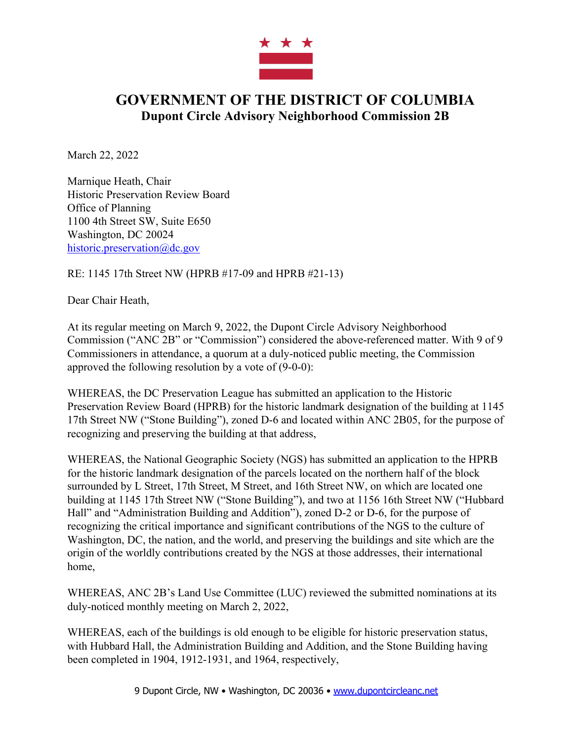

## **GOVERNMENT OF THE DISTRICT OF COLUMBIA Dupont Circle Advisory Neighborhood Commission 2B**

March 22, 2022

Marnique Heath, Chair Historic Preservation Review Board Office of Planning 1100 4th Street SW, Suite E650 Washington, DC 20024 historic.preservation@dc.gov

RE: 1145 17th Street NW (HPRB #17-09 and HPRB #21-13)

Dear Chair Heath,

At its regular meeting on March 9, 2022, the Dupont Circle Advisory Neighborhood Commission ("ANC 2B" or "Commission") considered the above-referenced matter. With 9 of 9 Commissioners in attendance, a quorum at a duly-noticed public meeting, the Commission approved the following resolution by a vote of (9-0-0):

WHEREAS, the DC Preservation League has submitted an application to the Historic Preservation Review Board (HPRB) for the historic landmark designation of the building at 1145 17th Street NW ("Stone Building"), zoned D-6 and located within ANC 2B05, for the purpose of recognizing and preserving the building at that address,

WHEREAS, the National Geographic Society (NGS) has submitted an application to the HPRB for the historic landmark designation of the parcels located on the northern half of the block surrounded by L Street, 17th Street, M Street, and 16th Street NW, on which are located one building at 1145 17th Street NW ("Stone Building"), and two at 1156 16th Street NW ("Hubbard Hall" and "Administration Building and Addition"), zoned D-2 or D-6, for the purpose of recognizing the critical importance and significant contributions of the NGS to the culture of Washington, DC, the nation, and the world, and preserving the buildings and site which are the origin of the worldly contributions created by the NGS at those addresses, their international home,

WHEREAS, ANC 2B's Land Use Committee (LUC) reviewed the submitted nominations at its duly-noticed monthly meeting on March 2, 2022,

WHEREAS, each of the buildings is old enough to be eligible for historic preservation status, with Hubbard Hall, the Administration Building and Addition, and the Stone Building having been completed in 1904, 1912-1931, and 1964, respectively,